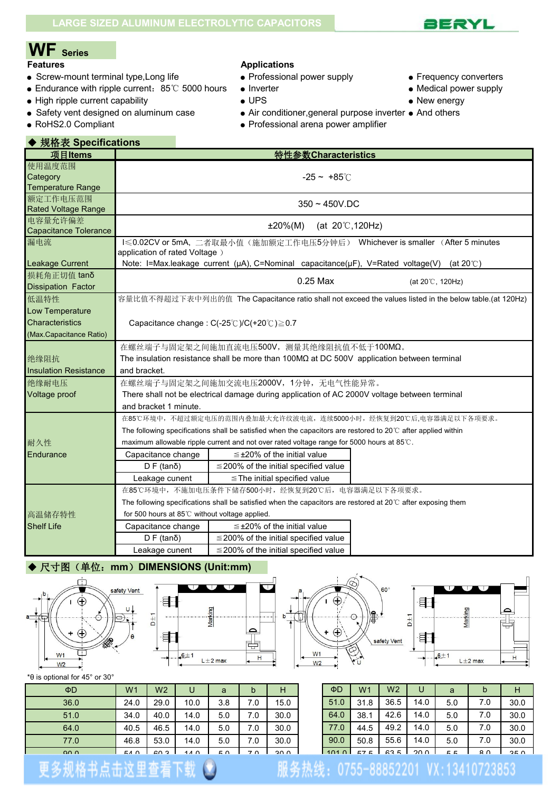

# **WF Series**

- Screw-mount terminal type, Long life **•** Professional power supply Frequency converters
- Endurance with ripple current: 85℃ 5000 hours Inverter endurance with ripple current: 85℃ 5000 hours Inverter
- High ripple current capability  $\bullet$  UPS  $\bullet$  New energy
- Safety vent designed on aluminum case Air conditioner, general purpose inverter And others
- 

## **Applications**

- 
- -
	-
- RoHS2.0 Compliant Professional arena power amplifier
- 
- 
- 
- 
- 

| ◆ 规格表 Specifications                                        |                                                                                                                                                                                                                                                                                                                                                                                                                                                                               |                                                                                                                                                                         |                                                                                                        |  |  |  |  |  |  |  |
|-------------------------------------------------------------|-------------------------------------------------------------------------------------------------------------------------------------------------------------------------------------------------------------------------------------------------------------------------------------------------------------------------------------------------------------------------------------------------------------------------------------------------------------------------------|-------------------------------------------------------------------------------------------------------------------------------------------------------------------------|--------------------------------------------------------------------------------------------------------|--|--|--|--|--|--|--|
| 项目Items                                                     |                                                                                                                                                                                                                                                                                                                                                                                                                                                                               | 特性参数Characteristics                                                                                                                                                     |                                                                                                        |  |  |  |  |  |  |  |
| 使用温度范围<br>Category<br><b>Temperature Range</b>              | $-25 - +85^{\circ}$                                                                                                                                                                                                                                                                                                                                                                                                                                                           |                                                                                                                                                                         |                                                                                                        |  |  |  |  |  |  |  |
| 额定工作电压范围<br><b>Rated Voltage Range</b>                      | $350 - 450V$ .DC                                                                                                                                                                                                                                                                                                                                                                                                                                                              |                                                                                                                                                                         |                                                                                                        |  |  |  |  |  |  |  |
| 电容量允许偏差<br>Capacitance Tolerance                            |                                                                                                                                                                                                                                                                                                                                                                                                                                                                               | (at $20^{\circ}$ C, 120Hz)<br>±20%(M)                                                                                                                                   |                                                                                                        |  |  |  |  |  |  |  |
| 漏电流                                                         | application of rated Voltage)                                                                                                                                                                                                                                                                                                                                                                                                                                                 |                                                                                                                                                                         | I≤0.02CV or 5mA, 二者取最小值(施加额定工作电压5分钟后) Whichever is smaller (After 5 minutes                            |  |  |  |  |  |  |  |
| Leakage Current<br>损耗角正切值 tanδ<br><b>Dissipation Factor</b> |                                                                                                                                                                                                                                                                                                                                                                                                                                                                               | Note: I=Max.leakage current ( $\mu$ A), C=Nominal capacitance( $\mu$ F), V=Rated voltage(V) (at 20°C)<br>0.25 Max                                                       | (at $20^{\circ}$ C, 120Hz)                                                                             |  |  |  |  |  |  |  |
| 低温特性<br>Low Temperature                                     |                                                                                                                                                                                                                                                                                                                                                                                                                                                                               |                                                                                                                                                                         | 容量比值不得超过下表中列出的值 The Capacitance ratio shall not exceed the values listed in the below table.(at 120Hz) |  |  |  |  |  |  |  |
| <b>Characteristics</b><br>(Max.Capacitance Ratio)           |                                                                                                                                                                                                                                                                                                                                                                                                                                                                               | Capacitance change: $C(-25^{\circ}C)/C(+20^{\circ}C) \ge 0.7$                                                                                                           |                                                                                                        |  |  |  |  |  |  |  |
| 绝缘阻抗<br><b>Insulation Resistance</b>                        | and bracket.                                                                                                                                                                                                                                                                                                                                                                                                                                                                  | 在螺丝端子与固定架之间施加直流电压500V, 测量其绝缘阻抗值不低于100MΩ。<br>The insulation resistance shall be more than $100M\Omega$ at DC 500V application between terminal                           |                                                                                                        |  |  |  |  |  |  |  |
| 绝缘耐电压<br>Voltage proof                                      | and bracket 1 minute.                                                                                                                                                                                                                                                                                                                                                                                                                                                         | 在螺丝端子与固定架之间施加交流电压2000V, 1分钟, 无电气性能异常。<br>There shall not be electrical damage during application of AC 2000V voltage between terminal                                   |                                                                                                        |  |  |  |  |  |  |  |
| 耐久性<br>Endurance                                            | 在85℃环境中,不超过额定电压的范围内叠加最大允许纹波电流,连续5000小时,经恢复到20℃后,电容器满足以下各项要求。<br>The following specifications shall be satisfied when the capacitors are restored to 20 $\degree$ C after applied within<br>maximum allowable ripple current and not over rated voltage range for 5000 hours at 85°C.<br>$\leq$ ±20% of the initial value<br>Capacitance change<br>$\leq$ 200% of the initial specified value<br>$D F$ (tan $\delta$ )<br>$\leq$ The initial specified value<br>Leakage cunent |                                                                                                                                                                         |                                                                                                        |  |  |  |  |  |  |  |
| 高温储存特性                                                      | for 500 hours at 85℃ without voltage applied.                                                                                                                                                                                                                                                                                                                                                                                                                                 | 在85℃环境中,不施加电压条件下储存500小时,经恢复到20℃后,电容器满足以下各项要求。<br>The following specifications shall be satisfied when the capacitors are restored at $20^{\circ}$ C after exposing them |                                                                                                        |  |  |  |  |  |  |  |

| <b>Shelf Life</b> | Capacitance change    | $\leq$ ±20% of the initial value           |
|-------------------|-----------------------|--------------------------------------------|
|                   | $D F$ (tan $\delta$ ) | $\leq$ 200% of the initial specified value |
|                   | Leakage cunent        | $\leq$ 200% of the initial specified value |

## ◆ 尺寸图(单位: mm) DIMENSIONS (Unit:mm)









\*θ is optional for 45° or 30°

| $\Phi$ D | W <sub>1</sub> | W <sub>2</sub> | U         | a   |                | Н    | $\Phi$ D | W <sub>1</sub> | W <sub>2</sub> | U    | a         | b   | H    |
|----------|----------------|----------------|-----------|-----|----------------|------|----------|----------------|----------------|------|-----------|-----|------|
| 36.0     | 24.0           | 29.0           | 10.0      | 3.8 | 7.0            | 15.0 | 51.0     | 31.8           | 36.5           | 14.0 | 5.0       | 7.0 | 30.0 |
| 51.0     | 34.0           | 40.0           | 14.0      | 5.0 | 7.0            | 30.0 | 64.0     | 38.1           | 42.6           | 14.0 | 5.0       | 7.0 | 30.0 |
| 64.0     | 40.5           | 46.5           | 14.0      | 5.0 | 7.0            | 30.0 | 77.0     | 44.5           | 49.2           | 14.0 | 5.0       | 7.0 | 30.0 |
| 77.0     | 46.8           | 53.0           | 14.0      | 5.0 | 7.0            | 30.0 | 90.0     | 50.8           | 55.6           | 14.0 | 5.0       | 7.0 | 30.0 |
| $\Omega$ | 54 O           | GO 3           | 14 $\cap$ | гΩ  | 7 <sub>0</sub> | 30 U | 1010     | <b>E7</b>      | 63.            | 200  | <b>55</b> | 80  | 350  |

| ΦD   | W <sub>1</sub> | W <sub>2</sub> | U    | a   | b   | н    |
|------|----------------|----------------|------|-----|-----|------|
| 51.0 | 31.8           | 36.5           | 14.0 | 5.0 | 7.0 | 30.0 |
| 64.0 | 38.1           | 42.6           | 14.0 | 5.0 | 7.0 | 30.0 |
| 77.0 | 44.5           | 49.2           | 14.0 | 5.0 | 7.0 | 30.0 |
| 90.0 | 50.8           | 55.6           | 14.0 | 5.0 | 7.0 | 30.0 |
|      | <b>575</b>     | 63 5           |      | κ κ | R N | 35 U |

## 服务热线: 0755-88852201 VX:13410723853